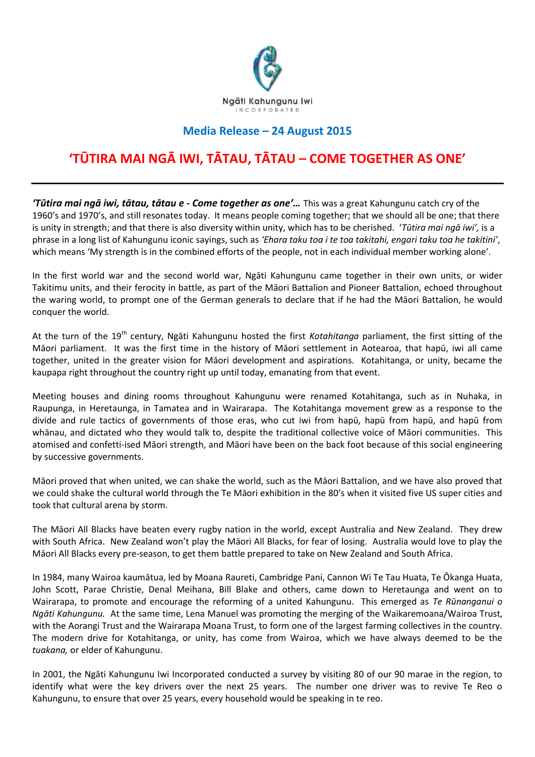

## **Media Release – 24 August 2015**

## **'TŪTIRA MAI NGĀ IWI, TĀTAU, TĀTAU – COME TOGETHER AS ONE'**

*'Tūtira mai ngā iwi, tātau, tātau e - Come together as one'…* This was a great Kahungunu catch cry of the 1960's and 1970's, and still resonates today. It means people coming together; that we should all be one; that there is unity in strength; and that there is also diversity within unity, which has to be cherished. '*Tūtira mai ngā iwi',* is a phrase in a long list of Kahungunu iconic sayings, such as *'Ehara taku toa i te toa takitahi, engari taku toa he takitini'*, which means 'My strength is in the combined efforts of the people, not in each individual member working alone'.

In the first world war and the second world war, Ngāti Kahungunu came together in their own units, or wider Takitimu units, and their ferocity in battle, as part of the Māori Battalion and Pioneer Battalion, echoed throughout the waring world, to prompt one of the German generals to declare that if he had the Māori Battalion, he would conquer the world.

At the turn of the 19<sup>th</sup> century, Ngāti Kahungunu hosted the first *Kotahitanga* parliament, the first sitting of the Māori parliament. It was the first time in the history of Māori settlement in Aotearoa, that hapū, iwi all came together, united in the greater vision for Māori development and aspirations. Kotahitanga, or unity, became the kaupapa right throughout the country right up until today, emanating from that event.

Meeting houses and dining rooms throughout Kahungunu were renamed Kotahitanga, such as in Nuhaka, in Raupunga, in Heretaunga, in Tamatea and in Wairarapa. The Kotahitanga movement grew as a response to the divide and rule tactics of governments of those eras, who cut iwi from hapū, hapū from hapū, and hapū from whānau, and dictated who they would talk to, despite the traditional collective voice of Māori communities. This atomised and confetti-ised Māori strength, and Māori have been on the back foot because of this social engineering by successive governments.

Māori proved that when united, we can shake the world, such as the Māori Battalion, and we have also proved that we could shake the cultural world through the Te Māori exhibition in the 80's when it visited five US super cities and took that cultural arena by storm.

The Māori All Blacks have beaten every rugby nation in the world, except Australia and New Zealand. They drew with South Africa. New Zealand won't play the Māori All Blacks, for fear of losing. Australia would love to play the Māori All Blacks every pre-season, to get them battle prepared to take on New Zealand and South Africa.

In 1984, many Wairoa kaumātua, led by Moana Raureti, Cambridge Pani, Cannon Wi Te Tau Huata, Te Ōkanga Huata, John Scott, Parae Christie, Denal Meihana, Bill Blake and others, came down to Heretaunga and went on to Wairarapa, to promote and encourage the reforming of a united Kahungunu. This emerged as *Te Rūnanganui o Ngāti Kahungunu.* At the same time, Lena Manuel was promoting the merging of the Waikaremoana/Wairoa Trust, with the Aorangi Trust and the Wairarapa Moana Trust, to form one of the largest farming collectives in the country. The modern drive for Kotahitanga, or unity, has come from Wairoa, which we have always deemed to be the *tuakana,* or elder of Kahungunu.

In 2001, the Ngāti Kahungunu Iwi Incorporated conducted a survey by visiting 80 of our 90 marae in the region, to identify what were the key drivers over the next 25 years. The number one driver was to revive Te Reo o Kahungunu, to ensure that over 25 years, every household would be speaking in te reo.